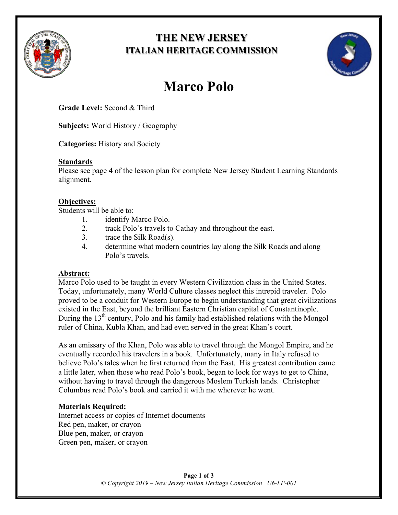

# **THE NEW JERSEY ITALIAN HERITAGE COMMISSION**



# **Marco Polo**

**Grade Level:** Second & Third

**Subjects:** World History / Geography

**Categories:** History and Society

#### **Standards**

Please see page 4 of the lesson plan for complete New Jersey Student Learning Standards alignment.

## **Objectives:**

Students will be able to:

- 1. identify Marco Polo.
- 2. track Polo's travels to Cathay and throughout the east.
- 3. trace the Silk Road(s).
- 4. determine what modern countries lay along the Silk Roads and along Polo's travels.

## **Abstract:**

Marco Polo used to be taught in every Western Civilization class in the United States. Today, unfortunately, many World Culture classes neglect this intrepid traveler. Polo proved to be a conduit for Western Europe to begin understanding that great civilizations existed in the East, beyond the brilliant Eastern Christian capital of Constantinople. During the  $13<sup>th</sup>$  century, Polo and his family had established relations with the Mongol ruler of China, Kubla Khan, and had even served in the great Khan's court.

As an emissary of the Khan, Polo was able to travel through the Mongol Empire, and he eventually recorded his travelers in a book. Unfortunately, many in Italy refused to believe Polo's tales when he first returned from the East. His greatest contribution came a little later, when those who read Polo's book, began to look for ways to get to China, without having to travel through the dangerous Moslem Turkish lands. Christopher Columbus read Polo's book and carried it with me wherever he went.

## **Materials Required:**

Internet access or copies of Internet documents Red pen, maker, or crayon Blue pen, maker, or crayon Green pen, maker, or crayon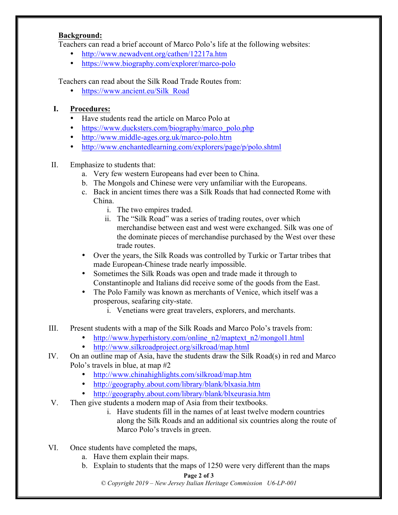#### **Background:**

Teachers can read a brief account of Marco Polo's life at the following websites:

- http://www.newadvent.org/cathen/12217a.htm
- https://www.biography.com/explorer/marco-polo

Teachers can read about the Silk Road Trade Routes from:

• https://www.ancient.eu/Silk\_Road

#### **I. Procedures:**

- Have students read the article on Marco Polo at
- https://www.ducksters.com/biography/marco\_polo.php
- http://www.middle-ages.org.uk/marco-polo.htm
- http://www.enchantedlearning.com/explorers/page/p/polo.shtml

#### II. Emphasize to students that:

- a. Very few western Europeans had ever been to China.
- b. The Mongols and Chinese were very unfamiliar with the Europeans.
- c. Back in ancient times there was a Silk Roads that had connected Rome with China.
	- i. The two empires traded.
	- ii. The "Silk Road" was a series of trading routes, over which merchandise between east and west were exchanged. Silk was one of the dominate pieces of merchandise purchased by the West over these trade routes.
- Over the years, the Silk Roads was controlled by Turkic or Tartar tribes that made European-Chinese trade nearly impossible.
- Sometimes the Silk Roads was open and trade made it through to Constantinople and Italians did receive some of the goods from the East.
- The Polo Family was known as merchants of Venice, which itself was a prosperous, seafaring city-state.
	- i. Venetians were great travelers, explorers, and merchants.
- III. Present students with a map of the Silk Roads and Marco Polo's travels from:
	- http://www.hyperhistory.com/online\_n2/maptext\_n2/mongol1.html<br>• http://www.silkroadproject.org/silkroad/map.html
	- http://www.silkroadproject.org/silkroad/map.html
- IV. On an outline map of Asia, have the students draw the Silk Road(s) in red and Marco Polo's travels in blue, at map #2
	- http://www.chinahighlights.com/silkroad/map.htm
	- http://geography.about.com/library/blank/blxasia.htm
	- http://geography.about.com/library/blank/blxeurasia.htm
- V. Then give students a modern map of Asia from their textbooks.
	- i. Have students fill in the names of at least twelve modern countries along the Silk Roads and an additional six countries along the route of Marco Polo's travels in green.
- VI. Once students have completed the maps,
	- a. Have them explain their maps.
	- b. Explain to students that the maps of 1250 were very different than the maps

#### **Page 2 of 3**

*© Copyright 2019 – New Jersey Italian Heritage Commission U6-LP-001*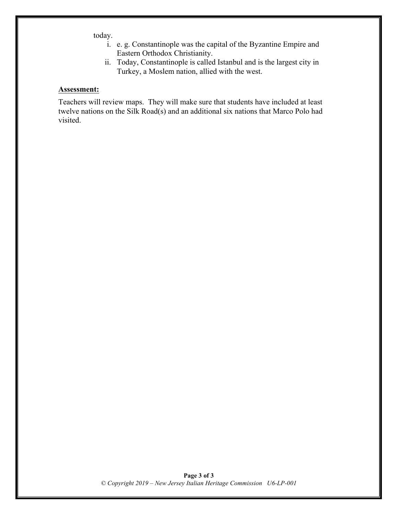today.

- i. e. g. Constantinople was the capital of the Byzantine Empire and Eastern Orthodox Christianity.
- ii. Today, Constantinople is called Istanbul and is the largest city in Turkey, a Moslem nation, allied with the west.

#### **Assessment:**

Teachers will review maps. They will make sure that students have included at least twelve nations on the Silk Road(s) and an additional six nations that Marco Polo had visited.